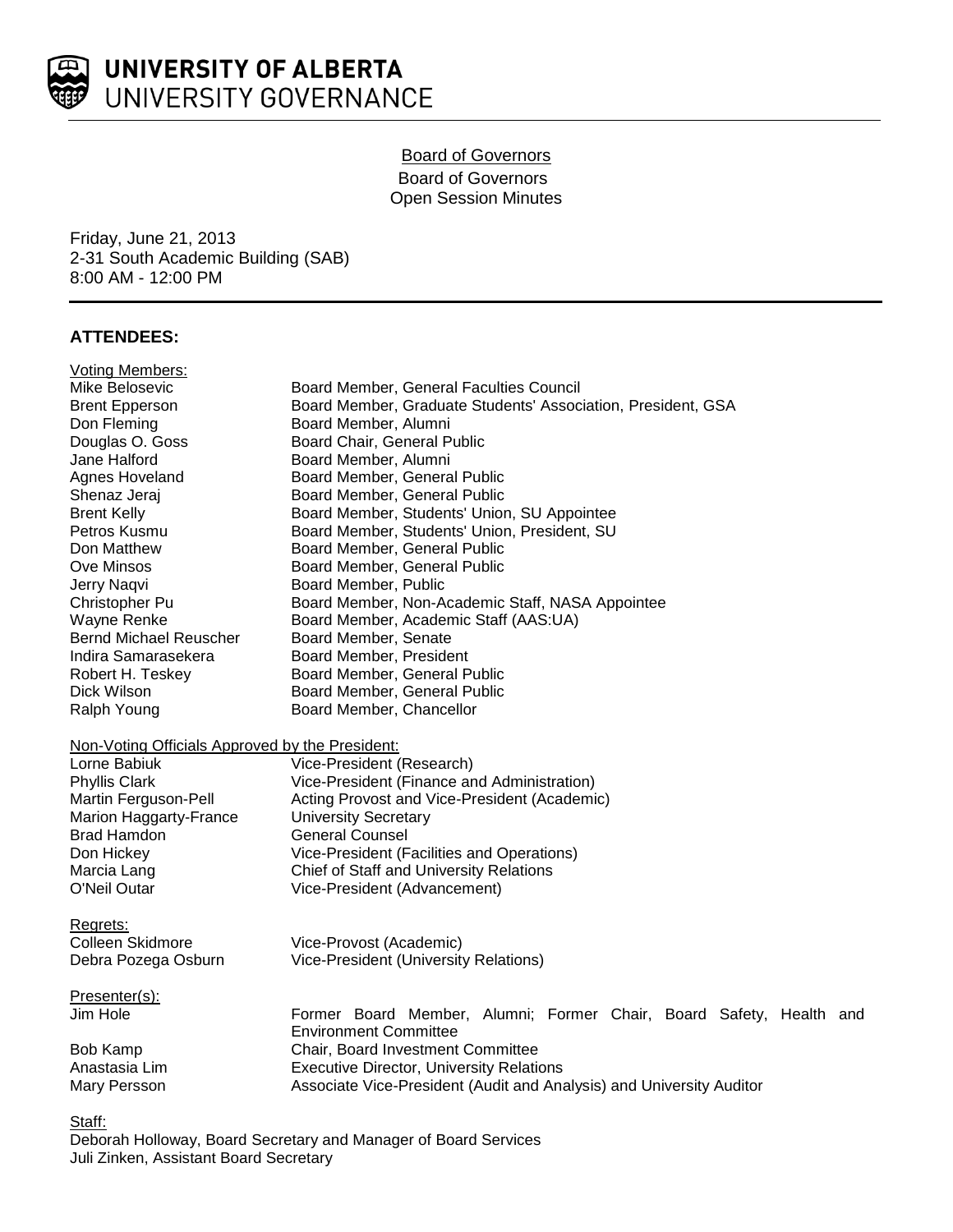

# Board of Governors Board of Governors Open Session Minutes

Friday, June 21, 2013 2-31 South Academic Building (SAB) 8:00 AM - 12:00 PM

# **ATTENDEES:**

| <b>Voting Members:</b>                          |                                                                      |
|-------------------------------------------------|----------------------------------------------------------------------|
| Mike Belosevic                                  | Board Member, General Faculties Council                              |
| <b>Brent Epperson</b>                           | Board Member, Graduate Students' Association, President, GSA         |
| Don Fleming                                     | Board Member, Alumni                                                 |
| Douglas O. Goss                                 | Board Chair, General Public                                          |
| Jane Halford                                    | Board Member, Alumni                                                 |
| Agnes Hoveland                                  | Board Member, General Public                                         |
| Shenaz Jeraj                                    | Board Member, General Public                                         |
| <b>Brent Kelly</b>                              | Board Member, Students' Union, SU Appointee                          |
| Petros Kusmu                                    | Board Member, Students' Union, President, SU                         |
| Don Matthew                                     | Board Member, General Public                                         |
| Ove Minsos                                      | Board Member, General Public                                         |
| Jerry Naqvi                                     | Board Member, Public                                                 |
| Christopher Pu                                  | Board Member, Non-Academic Staff, NASA Appointee                     |
| Wayne Renke                                     | Board Member, Academic Staff (AAS:UA)                                |
| <b>Bernd Michael Reuscher</b>                   | Board Member, Senate                                                 |
| Indira Samarasekera                             | Board Member, President                                              |
| Robert H. Teskey                                | Board Member, General Public                                         |
| Dick Wilson                                     | Board Member, General Public                                         |
| Ralph Young                                     | Board Member, Chancellor                                             |
| Non-Voting Officials Approved by the President: |                                                                      |
| Lorne Babiuk                                    | Vice-President (Research)                                            |
| <b>Phyllis Clark</b>                            | Vice-President (Finance and Administration)                          |
| Martin Ferguson-Pell                            | Acting Provost and Vice-President (Academic)                         |
| Marion Haggarty-France                          | <b>University Secretary</b>                                          |
| Brad Hamdon                                     | <b>General Counsel</b>                                               |
| Don Hickey                                      | Vice-President (Facilities and Operations)                           |
| Marcia Lang                                     | Chief of Staff and University Relations                              |
| O'Neil Outar                                    | Vice-President (Advancement)                                         |
| Regrets:                                        |                                                                      |
| Colleen Skidmore                                | Vice-Provost (Academic)                                              |
| Debra Pozega Osburn                             | Vice-President (University Relations)                                |
| Presenter(s):                                   |                                                                      |
| Jim Hole                                        | Former Board Member, Alumni; Former Chair, Board Safety, Health and  |
|                                                 | <b>Environment Committee</b>                                         |
| <b>Bob Kamp</b>                                 | Chair, Board Investment Committee                                    |
| Anastasia Lim                                   | <b>Executive Director, University Relations</b>                      |
| Mary Persson                                    | Associate Vice-President (Audit and Analysis) and University Auditor |
|                                                 |                                                                      |

Staff:

Deborah Holloway, Board Secretary and Manager of Board Services Juli Zinken, Assistant Board Secretary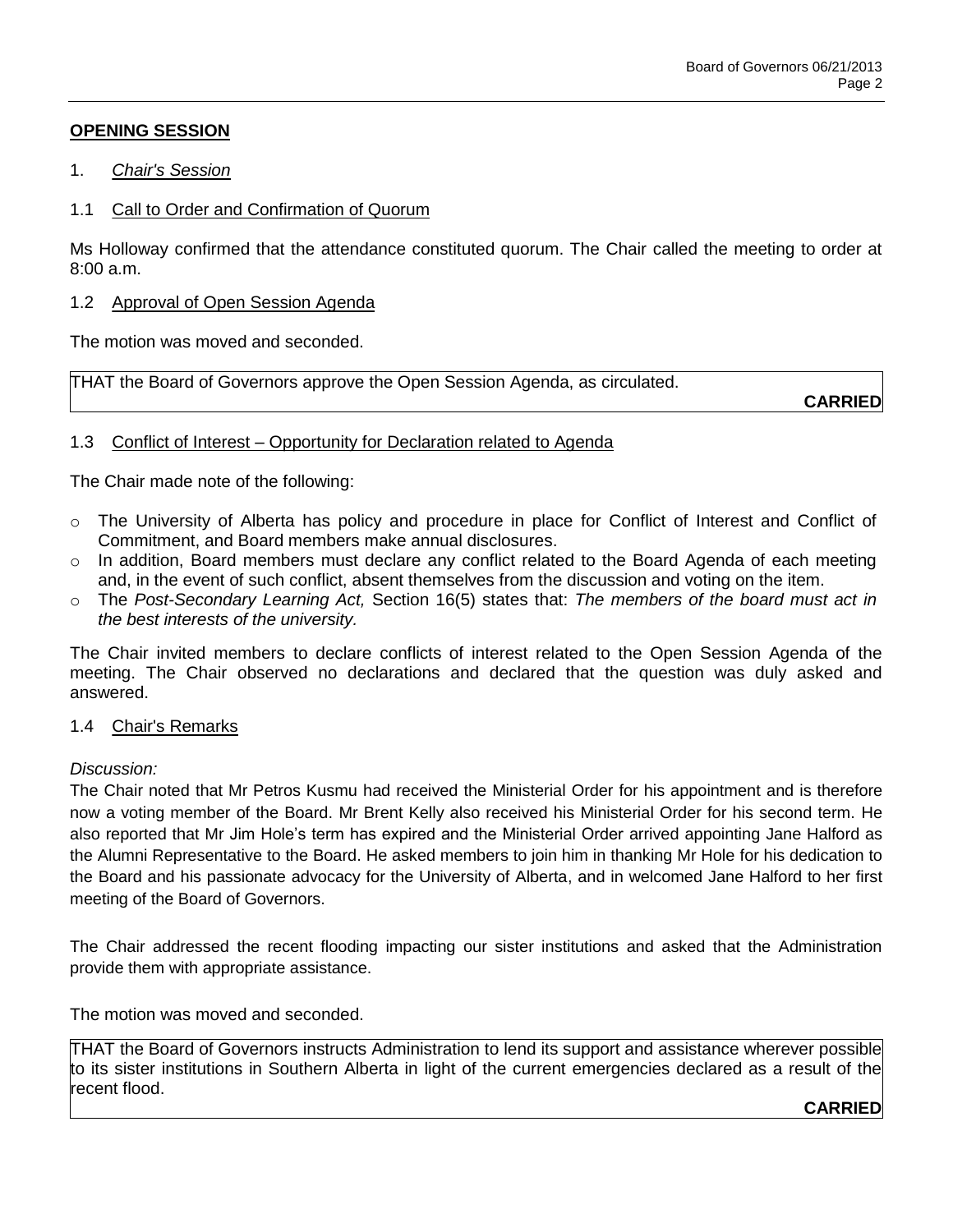# **OPENING SESSION**

- 1. *Chair's Session*
- 1.1 Call to Order and Confirmation of Quorum

Ms Holloway confirmed that the attendance constituted quorum. The Chair called the meeting to order at 8:00 a.m.

1.2 Approval of Open Session Agenda

The motion was moved and seconded.

THAT the Board of Governors approve the Open Session Agenda, as circulated.

**CARRIED**

## 1.3 Conflict of Interest – Opportunity for Declaration related to Agenda

The Chair made note of the following:

- $\circ$  The University of Alberta has policy and procedure in place for Conflict of Interest and Conflict of Commitment, and Board members make annual disclosures.
- $\circ$  In addition, Board members must declare any conflict related to the Board Agenda of each meeting and, in the event of such conflict, absent themselves from the discussion and voting on the item.
- o The *Post-Secondary Learning Act,* Section 16(5) states that: *The members of the board must act in the best interests of the university.*

The Chair invited members to declare conflicts of interest related to the Open Session Agenda of the meeting. The Chair observed no declarations and declared that the question was duly asked and answered.

## 1.4 Chair's Remarks

### *Discussion:*

The Chair noted that Mr Petros Kusmu had received the Ministerial Order for his appointment and is therefore now a voting member of the Board. Mr Brent Kelly also received his Ministerial Order for his second term. He also reported that Mr Jim Hole's term has expired and the Ministerial Order arrived appointing Jane Halford as the Alumni Representative to the Board. He asked members to join him in thanking Mr Hole for his dedication to the Board and his passionate advocacy for the University of Alberta, and in welcomed Jane Halford to her first meeting of the Board of Governors.

The Chair addressed the recent flooding impacting our sister institutions and asked that the Administration provide them with appropriate assistance.

The motion was moved and seconded.

THAT the Board of Governors instructs Administration to lend its support and assistance wherever possible to its sister institutions in Southern Alberta in light of the current emergencies declared as a result of the recent flood.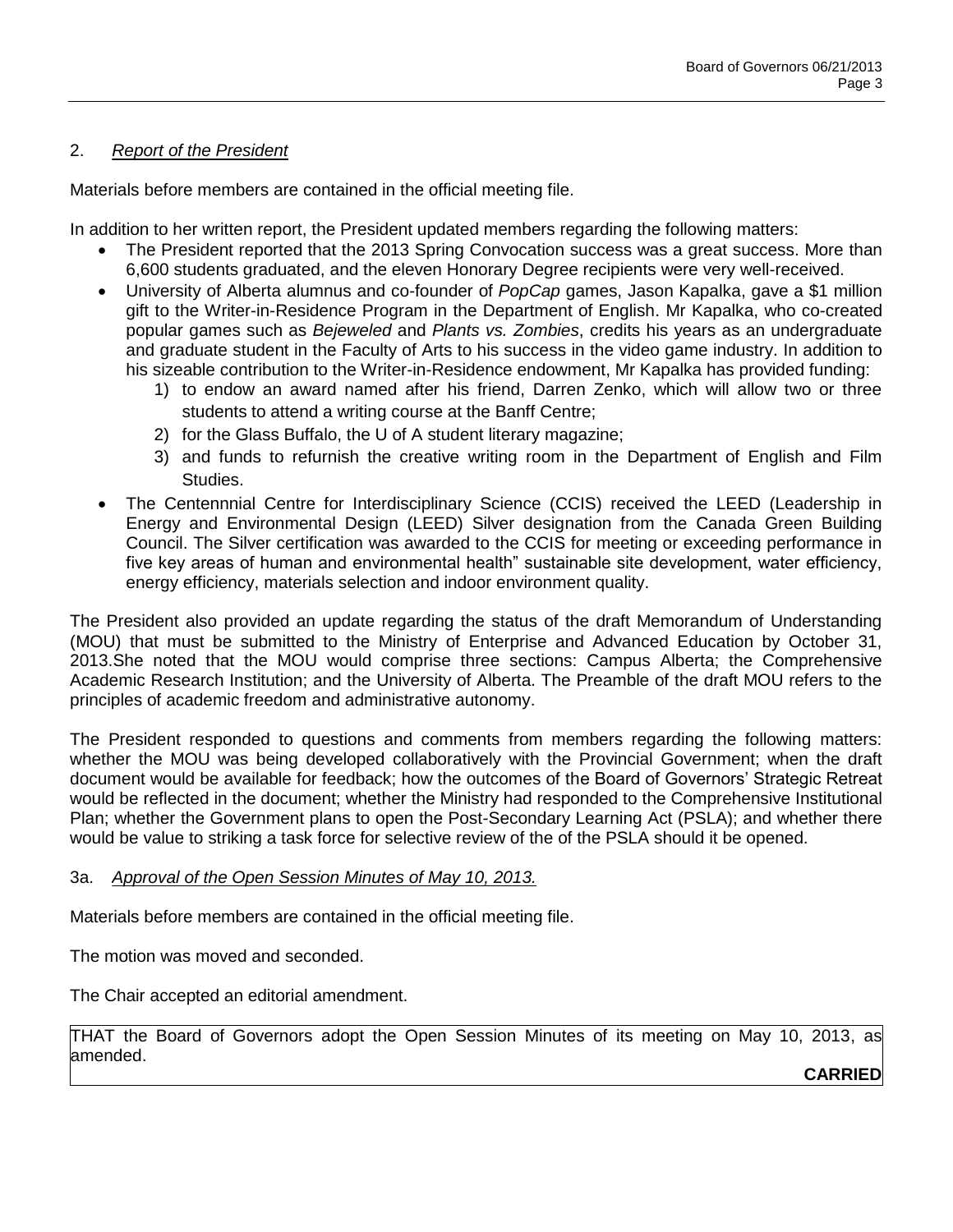### 2. *Report of the President*

Materials before members are contained in the official meeting file.

In addition to her written report, the President updated members regarding the following matters:

- The President reported that the 2013 Spring Convocation success was a great success. More than 6,600 students graduated, and the eleven Honorary Degree recipients were very well-received.
- University of Alberta alumnus and co-founder of *PopCap* games, Jason Kapalka, gave a \$1 million gift to the Writer-in-Residence Program in the Department of English. Mr Kapalka, who co-created popular games such as *Bejeweled* and *Plants vs. Zombies*, credits his years as an undergraduate and graduate student in the Faculty of Arts to his success in the video game industry. In addition to his sizeable contribution to the Writer-in-Residence endowment, Mr Kapalka has provided funding:
	- 1) to endow an award named after his friend, Darren Zenko, which will allow two or three students to attend a writing course at the Banff Centre;
	- 2) for the Glass Buffalo, the U of A student literary magazine;
	- 3) and funds to refurnish the creative writing room in the Department of English and Film Studies.
- The Centennnial Centre for Interdisciplinary Science (CCIS) received the LEED (Leadership in Energy and Environmental Design (LEED) Silver designation from the Canada Green Building Council. The Silver certification was awarded to the CCIS for meeting or exceeding performance in five key areas of human and environmental health" sustainable site development, water efficiency, energy efficiency, materials selection and indoor environment quality.

The President also provided an update regarding the status of the draft Memorandum of Understanding (MOU) that must be submitted to the Ministry of Enterprise and Advanced Education by October 31, 2013.She noted that the MOU would comprise three sections: Campus Alberta; the Comprehensive Academic Research Institution; and the University of Alberta. The Preamble of the draft MOU refers to the principles of academic freedom and administrative autonomy.

The President responded to questions and comments from members regarding the following matters: whether the MOU was being developed collaboratively with the Provincial Government; when the draft document would be available for feedback; how the outcomes of the Board of Governors' Strategic Retreat would be reflected in the document; whether the Ministry had responded to the Comprehensive Institutional Plan; whether the Government plans to open the Post-Secondary Learning Act (PSLA); and whether there would be value to striking a task force for selective review of the of the PSLA should it be opened.

## 3a. *Approval of the Open Session Minutes of May 10, 2013.*

Materials before members are contained in the official meeting file.

The motion was moved and seconded.

The Chair accepted an editorial amendment.

THAT the Board of Governors adopt the Open Session Minutes of its meeting on May 10, 2013, as amended.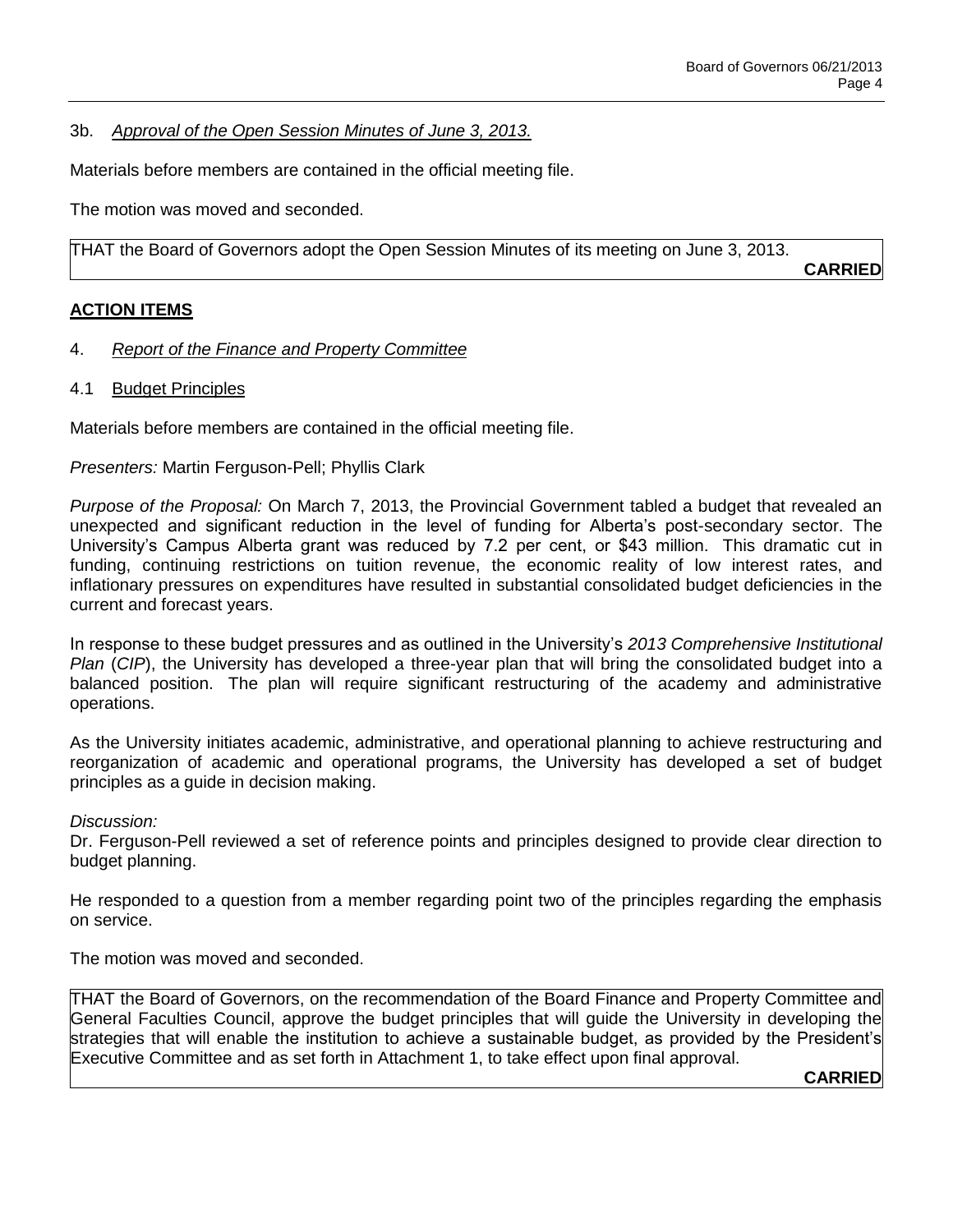### 3b. *Approval of the Open Session Minutes of June 3, 2013.*

Materials before members are contained in the official meeting file.

The motion was moved and seconded.

THAT the Board of Governors adopt the Open Session Minutes of its meeting on June 3, 2013.

**CARRIED**

## **ACTION ITEMS**

## 4. *Report of the Finance and Property Committee*

4.1 Budget Principles

Materials before members are contained in the official meeting file.

### *Presenters:* Martin Ferguson-Pell; Phyllis Clark

*Purpose of the Proposal:* On March 7, 2013, the Provincial Government tabled a budget that revealed an unexpected and significant reduction in the level of funding for Alberta's post-secondary sector. The University's Campus Alberta grant was reduced by 7.2 per cent, or \$43 million. This dramatic cut in funding, continuing restrictions on tuition revenue, the economic reality of low interest rates, and inflationary pressures on expenditures have resulted in substantial consolidated budget deficiencies in the current and forecast years.

In response to these budget pressures and as outlined in the University's *2013 Comprehensive Institutional Plan* (*CIP*), the University has developed a three-year plan that will bring the consolidated budget into a balanced position. The plan will require significant restructuring of the academy and administrative operations.

As the University initiates academic, administrative, and operational planning to achieve restructuring and reorganization of academic and operational programs, the University has developed a set of budget principles as a guide in decision making.

*Discussion:* 

Dr. Ferguson-Pell reviewed a set of reference points and principles designed to provide clear direction to budget planning.

He responded to a question from a member regarding point two of the principles regarding the emphasis on service.

The motion was moved and seconded.

THAT the Board of Governors, on the recommendation of the Board Finance and Property Committee and General Faculties Council, approve the budget principles that will guide the University in developing the strategies that will enable the institution to achieve a sustainable budget, as provided by the President's Executive Committee and as set forth in Attachment 1, to take effect upon final approval.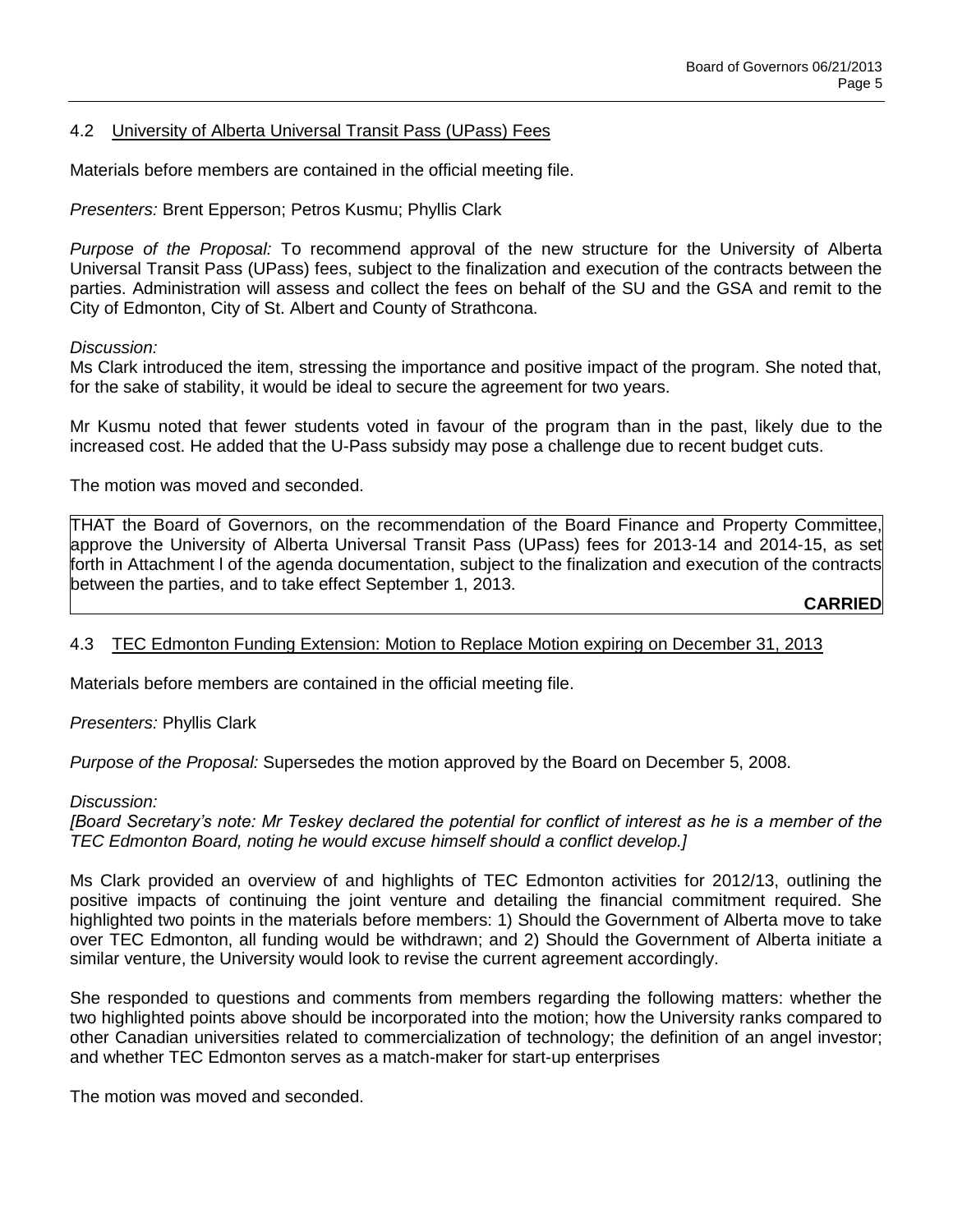### 4.2 University of Alberta Universal Transit Pass (UPass) Fees

Materials before members are contained in the official meeting file.

*Presenters:* Brent Epperson; Petros Kusmu; Phyllis Clark

*Purpose of the Proposal:* To recommend approval of the new structure for the University of Alberta Universal Transit Pass (UPass) fees, subject to the finalization and execution of the contracts between the parties. Administration will assess and collect the fees on behalf of the SU and the GSA and remit to the City of Edmonton, City of St. Albert and County of Strathcona.

#### *Discussion:*

Ms Clark introduced the item, stressing the importance and positive impact of the program. She noted that, for the sake of stability, it would be ideal to secure the agreement for two years.

Mr Kusmu noted that fewer students voted in favour of the program than in the past, likely due to the increased cost. He added that the U-Pass subsidy may pose a challenge due to recent budget cuts.

The motion was moved and seconded.

THAT the Board of Governors, on the recommendation of the Board Finance and Property Committee, approve the University of Alberta Universal Transit Pass (UPass) fees for 2013-14 and 2014-15, as set forth in Attachment l of the agenda documentation, subject to the finalization and execution of the contracts between the parties, and to take effect September 1, 2013.

**CARRIED**

### 4.3 TEC Edmonton Funding Extension: Motion to Replace Motion expiring on December 31, 2013

Materials before members are contained in the official meeting file.

*Presenters:* Phyllis Clark

*Purpose of the Proposal:* Supersedes the motion approved by the Board on December 5, 2008.

#### *Discussion:*

*[Board Secretary's note: Mr Teskey declared the potential for conflict of interest as he is a member of the TEC Edmonton Board, noting he would excuse himself should a conflict develop.]*

Ms Clark provided an overview of and highlights of TEC Edmonton activities for 2012/13, outlining the positive impacts of continuing the joint venture and detailing the financial commitment required. She highlighted two points in the materials before members: 1) Should the Government of Alberta move to take over TEC Edmonton, all funding would be withdrawn; and 2) Should the Government of Alberta initiate a similar venture, the University would look to revise the current agreement accordingly.

She responded to questions and comments from members regarding the following matters: whether the two highlighted points above should be incorporated into the motion; how the University ranks compared to other Canadian universities related to commercialization of technology; the definition of an angel investor; and whether TEC Edmonton serves as a match-maker for start-up enterprises

The motion was moved and seconded.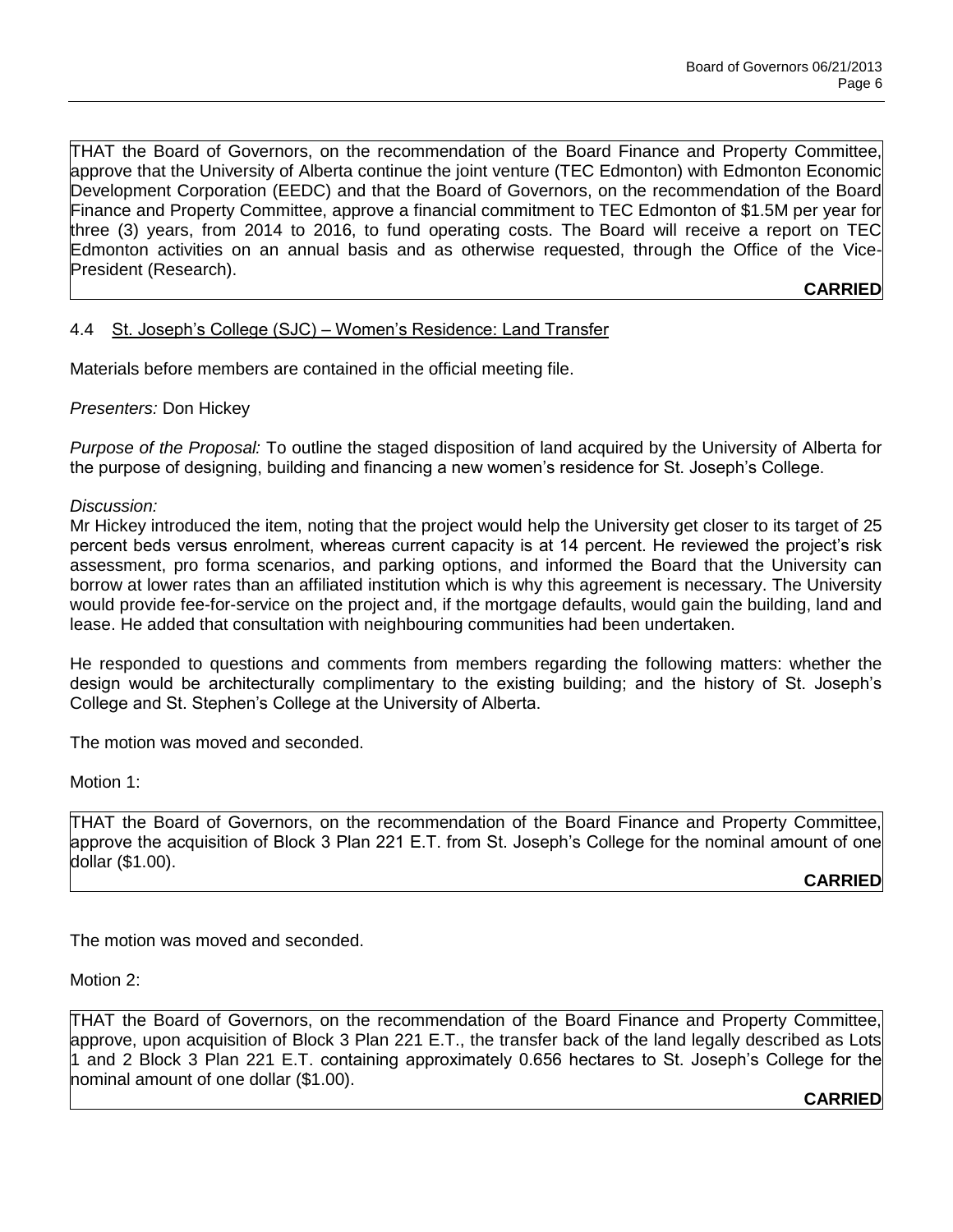THAT the Board of Governors, on the recommendation of the Board Finance and Property Committee, approve that the University of Alberta continue the joint venture (TEC Edmonton) with Edmonton Economic Development Corporation (EEDC) and that the Board of Governors, on the recommendation of the Board Finance and Property Committee, approve a financial commitment to TEC Edmonton of \$1.5M per year for three (3) years, from 2014 to 2016, to fund operating costs. The Board will receive a report on TEC Edmonton activities on an annual basis and as otherwise requested, through the Office of the Vice-President (Research).

## **CARRIED**

# 4.4 St. Joseph's College (SJC) – Women's Residence: Land Transfer

Materials before members are contained in the official meeting file.

*Presenters:* Don Hickey

*Purpose of the Proposal:* To outline the staged disposition of land acquired by the University of Alberta for the purpose of designing, building and financing a new women's residence for St. Joseph's College.

*Discussion:* 

Mr Hickey introduced the item, noting that the project would help the University get closer to its target of 25 percent beds versus enrolment, whereas current capacity is at 14 percent. He reviewed the project's risk assessment, pro forma scenarios, and parking options, and informed the Board that the University can borrow at lower rates than an affiliated institution which is why this agreement is necessary. The University would provide fee-for-service on the project and, if the mortgage defaults, would gain the building, land and lease. He added that consultation with neighbouring communities had been undertaken.

He responded to questions and comments from members regarding the following matters: whether the design would be architecturally complimentary to the existing building; and the history of St. Joseph's College and St. Stephen's College at the University of Alberta.

The motion was moved and seconded.

Motion 1:

THAT the Board of Governors, on the recommendation of the Board Finance and Property Committee, approve the acquisition of Block 3 Plan 221 E.T. from St. Joseph's College for the nominal amount of one dollar (\$1.00).

**CARRIED**

The motion was moved and seconded.

Motion 2:

THAT the Board of Governors, on the recommendation of the Board Finance and Property Committee, approve, upon acquisition of Block 3 Plan 221 E.T., the transfer back of the land legally described as Lots 1 and 2 Block 3 Plan 221 E.T. containing approximately 0.656 hectares to St. Joseph's College for the nominal amount of one dollar (\$1.00).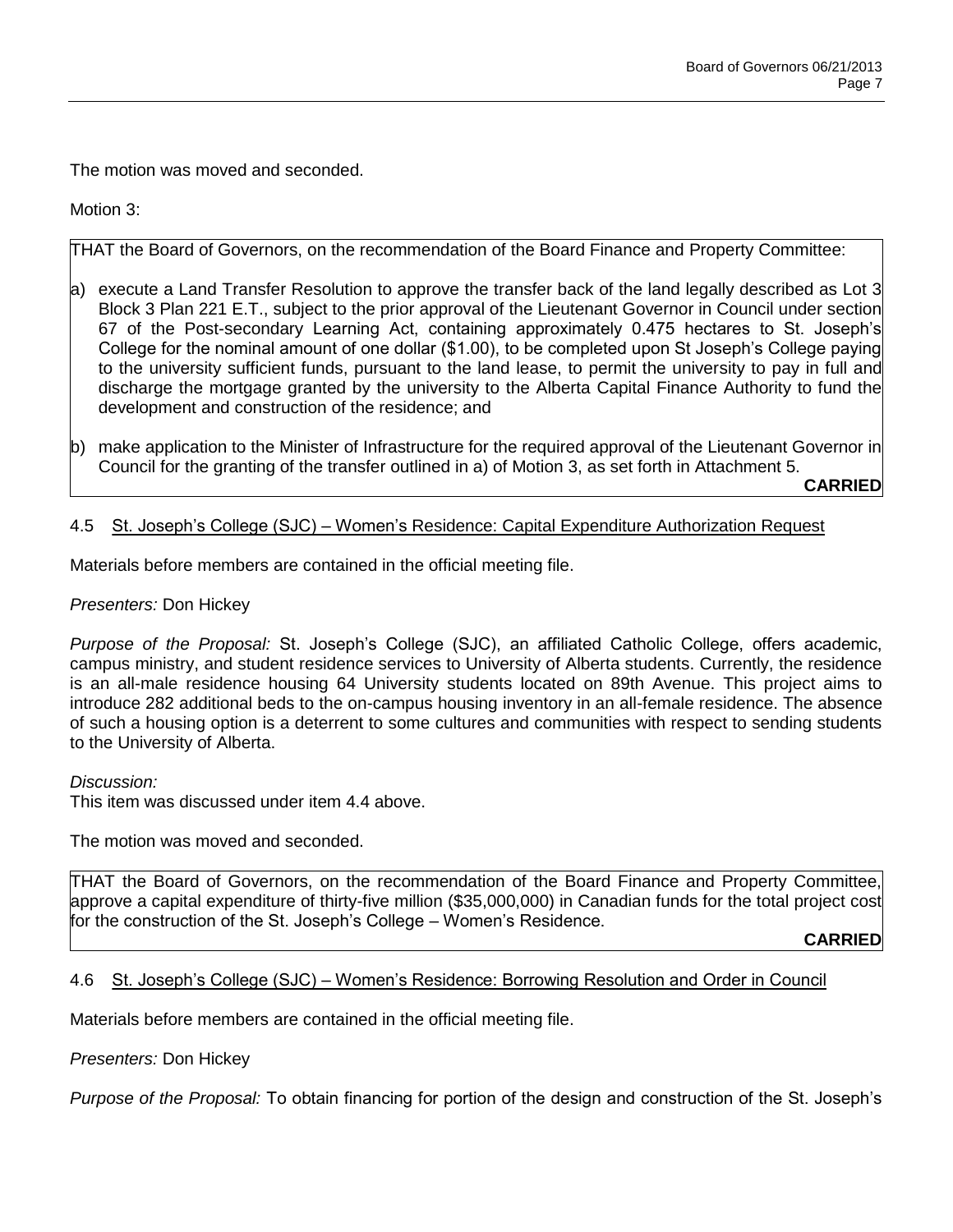The motion was moved and seconded.

Motion 3:

THAT the Board of Governors, on the recommendation of the Board Finance and Property Committee:

- a) execute a Land Transfer Resolution to approve the transfer back of the land legally described as Lot 3 Block 3 Plan 221 E.T., subject to the prior approval of the Lieutenant Governor in Council under section 67 of the Post-secondary Learning Act, containing approximately 0.475 hectares to St. Joseph's College for the nominal amount of one dollar (\$1.00), to be completed upon St Joseph's College paying to the university sufficient funds, pursuant to the land lease, to permit the university to pay in full and discharge the mortgage granted by the university to the Alberta Capital Finance Authority to fund the development and construction of the residence; and
- b) make application to the Minister of Infrastructure for the required approval of the Lieutenant Governor in Council for the granting of the transfer outlined in a) of Motion 3, as set forth in Attachment 5.

**CARRIED**

### 4.5 St. Joseph's College (SJC) – Women's Residence: Capital Expenditure Authorization Request

Materials before members are contained in the official meeting file.

*Presenters:* Don Hickey

*Purpose of the Proposal:* St. Joseph's College (SJC), an affiliated Catholic College, offers academic, campus ministry, and student residence services to University of Alberta students. Currently, the residence is an all-male residence housing 64 University students located on 89th Avenue. This project aims to introduce 282 additional beds to the on-campus housing inventory in an all-female residence. The absence of such a housing option is a deterrent to some cultures and communities with respect to sending students to the University of Alberta.

*Discussion:* 

This item was discussed under item 4.4 above.

The motion was moved and seconded.

THAT the Board of Governors, on the recommendation of the Board Finance and Property Committee, approve a capital expenditure of thirty-five million (\$35,000,000) in Canadian funds for the total project cost for the construction of the St. Joseph's College – Women's Residence.

**CARRIED**

## 4.6 St. Joseph's College (SJC) – Women's Residence: Borrowing Resolution and Order in Council

Materials before members are contained in the official meeting file.

*Presenters:* Don Hickey

*Purpose of the Proposal:* To obtain financing for portion of the design and construction of the St. Joseph's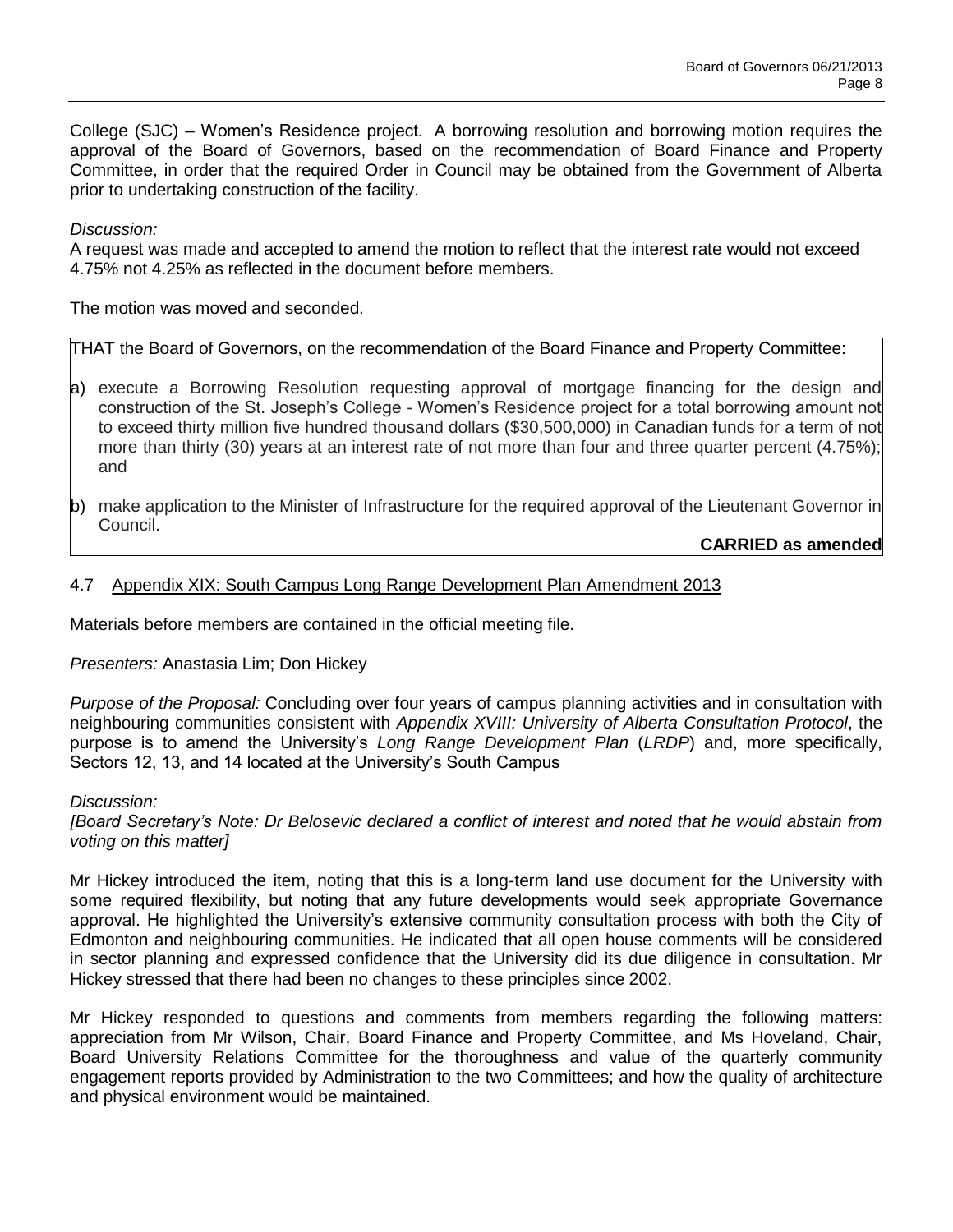College (SJC) – Women's Residence project. A borrowing resolution and borrowing motion requires the approval of the Board of Governors, based on the recommendation of Board Finance and Property Committee, in order that the required Order in Council may be obtained from the Government of Alberta prior to undertaking construction of the facility.

### *Discussion:*

A request was made and accepted to amend the motion to reflect that the interest rate would not exceed 4.75% not 4.25% as reflected in the document before members.

The motion was moved and seconded.

THAT the Board of Governors, on the recommendation of the Board Finance and Property Committee:

- a) execute a Borrowing Resolution requesting approval of mortgage financing for the design and construction of the St. Joseph's College - Women's Residence project for a total borrowing amount not to exceed thirty million five hundred thousand dollars (\$30,500,000) in Canadian funds for a term of not more than thirty (30) years at an interest rate of not more than four and three quarter percent (4.75%); and
- b) make application to the Minister of Infrastructure for the required approval of the Lieutenant Governor in Council.

# **CARRIED as amended**

## 4.7 Appendix XIX: South Campus Long Range Development Plan Amendment 2013

Materials before members are contained in the official meeting file.

### *Presenters:* Anastasia Lim; Don Hickey

*Purpose of the Proposal:* Concluding over four years of campus planning activities and in consultation with neighbouring communities consistent with *Appendix XVIII: University of Alberta Consultation Protocol*, the purpose is to amend the University's *Long Range Development Plan* (*LRDP*) and, more specifically, Sectors 12, 13, and 14 located at the University's South Campus

### *Discussion:*

*[Board Secretary's Note: Dr Belosevic declared a conflict of interest and noted that he would abstain from voting on this matter]*

Mr Hickey introduced the item, noting that this is a long-term land use document for the University with some required flexibility, but noting that any future developments would seek appropriate Governance approval. He highlighted the University's extensive community consultation process with both the City of Edmonton and neighbouring communities. He indicated that all open house comments will be considered in sector planning and expressed confidence that the University did its due diligence in consultation. Mr Hickey stressed that there had been no changes to these principles since 2002.

Mr Hickey responded to questions and comments from members regarding the following matters: appreciation from Mr Wilson, Chair, Board Finance and Property Committee, and Ms Hoveland, Chair, Board University Relations Committee for the thoroughness and value of the quarterly community engagement reports provided by Administration to the two Committees; and how the quality of architecture and physical environment would be maintained.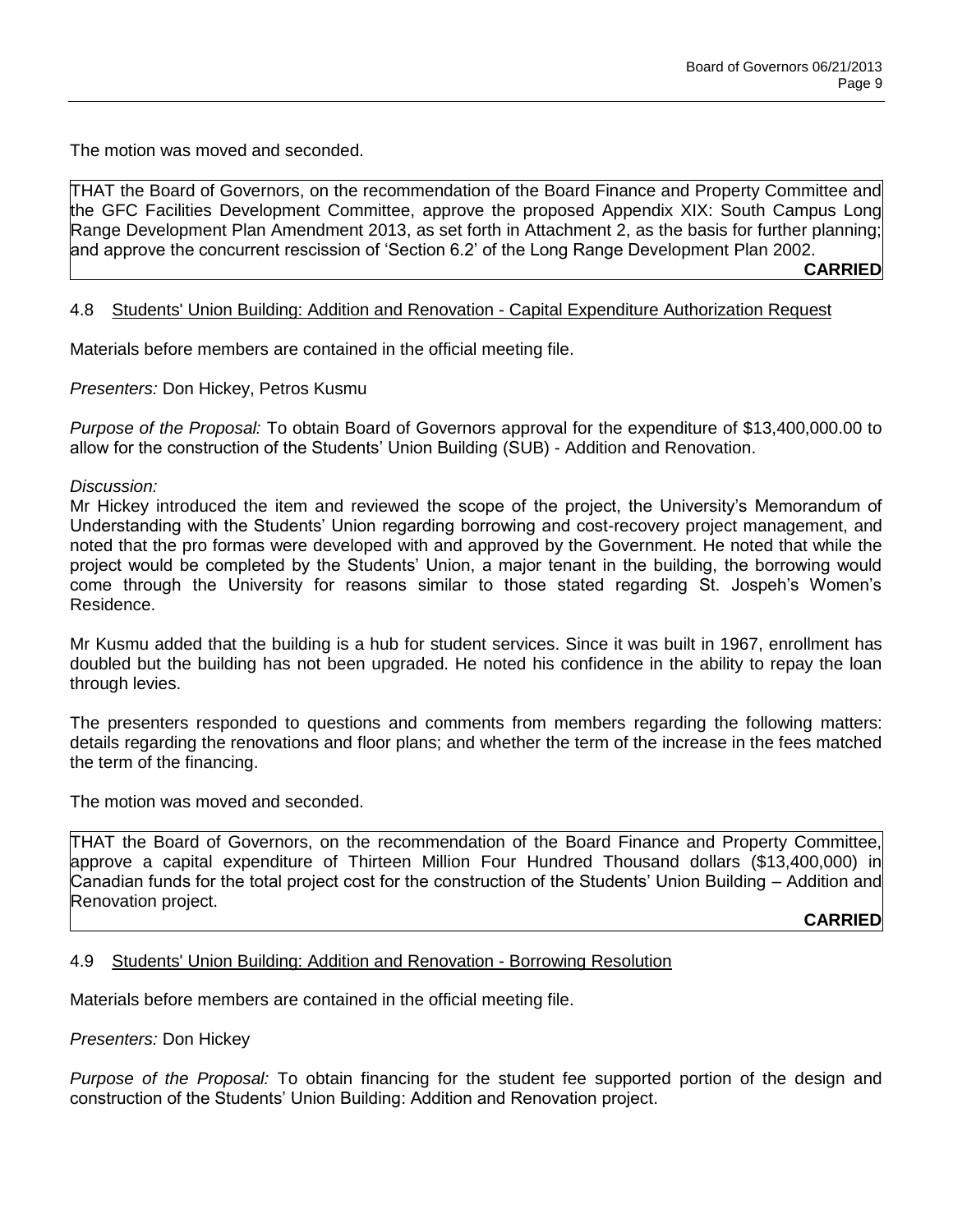The motion was moved and seconded.

THAT the Board of Governors, on the recommendation of the Board Finance and Property Committee and the GFC Facilities Development Committee, approve the proposed Appendix XIX: South Campus Long Range Development Plan Amendment 2013, as set forth in Attachment 2, as the basis for further planning; and approve the concurrent rescission of 'Section 6.2' of the Long Range Development Plan 2002. **CARRIED**

### 4.8 Students' Union Building: Addition and Renovation - Capital Expenditure Authorization Request

Materials before members are contained in the official meeting file.

*Presenters:* Don Hickey, Petros Kusmu

*Purpose of the Proposal:* To obtain Board of Governors approval for the expenditure of \$13,400,000.00 to allow for the construction of the Students' Union Building (SUB) - Addition and Renovation.

*Discussion:* 

Mr Hickey introduced the item and reviewed the scope of the project, the University's Memorandum of Understanding with the Students' Union regarding borrowing and cost-recovery project management, and noted that the pro formas were developed with and approved by the Government. He noted that while the project would be completed by the Students' Union, a major tenant in the building, the borrowing would come through the University for reasons similar to those stated regarding St. Jospeh's Women's Residence.

Mr Kusmu added that the building is a hub for student services. Since it was built in 1967, enrollment has doubled but the building has not been upgraded. He noted his confidence in the ability to repay the loan through levies.

The presenters responded to questions and comments from members regarding the following matters: details regarding the renovations and floor plans; and whether the term of the increase in the fees matched the term of the financing.

The motion was moved and seconded.

THAT the Board of Governors, on the recommendation of the Board Finance and Property Committee, approve a capital expenditure of Thirteen Million Four Hundred Thousand dollars (\$13,400,000) in Canadian funds for the total project cost for the construction of the Students' Union Building – Addition and Renovation project.

**CARRIED**

### 4.9 Students' Union Building: Addition and Renovation - Borrowing Resolution

Materials before members are contained in the official meeting file.

*Presenters:* Don Hickey

*Purpose of the Proposal:* To obtain financing for the student fee supported portion of the design and construction of the Students' Union Building: Addition and Renovation project.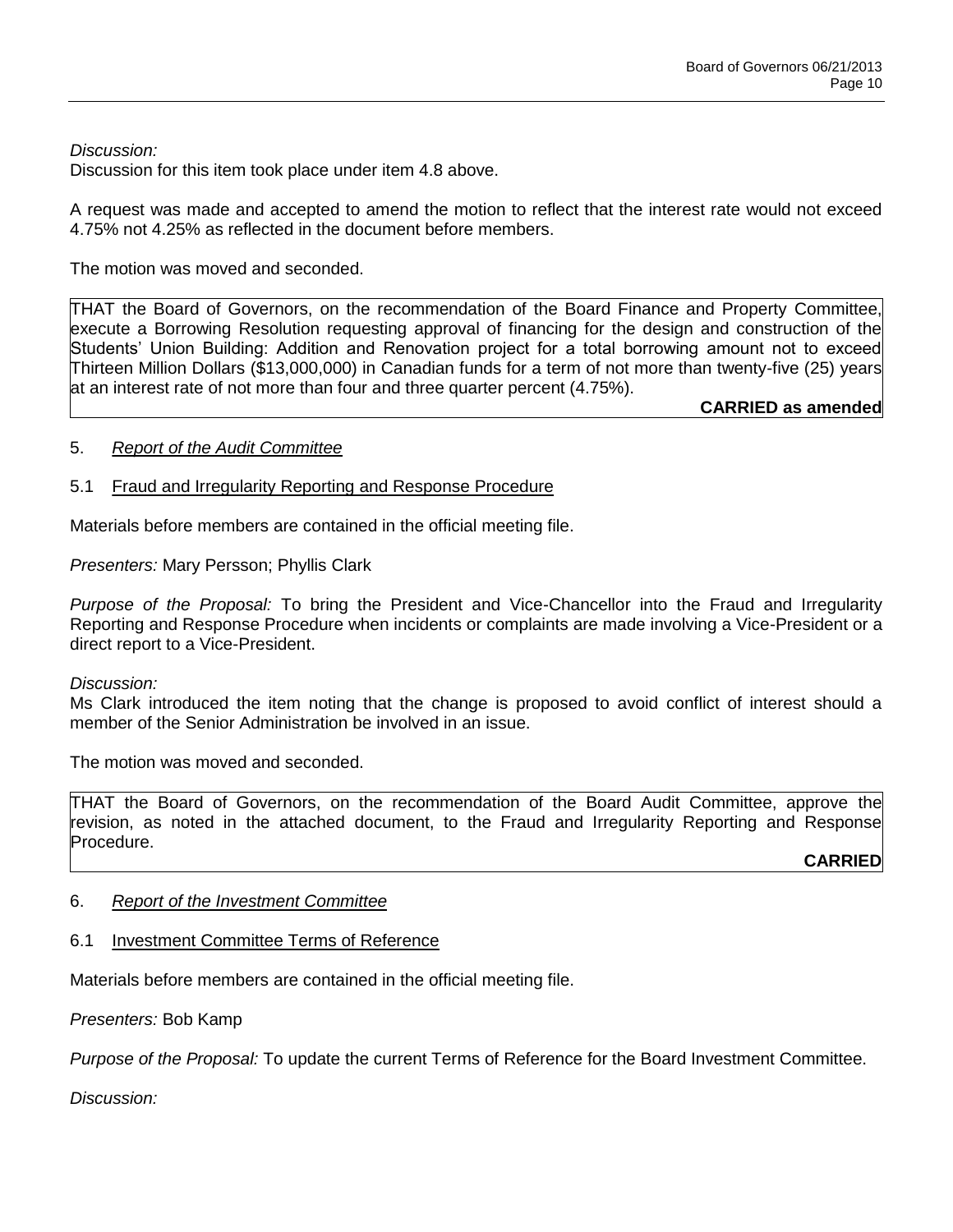## *Discussion:*

Discussion for this item took place under item 4.8 above.

A request was made and accepted to amend the motion to reflect that the interest rate would not exceed 4.75% not 4.25% as reflected in the document before members.

The motion was moved and seconded.

THAT the Board of Governors, on the recommendation of the Board Finance and Property Committee, execute a Borrowing Resolution requesting approval of financing for the design and construction of the Students' Union Building: Addition and Renovation project for a total borrowing amount not to exceed Thirteen Million Dollars (\$13,000,000) in Canadian funds for a term of not more than twenty-five (25) years at an interest rate of not more than four and three quarter percent (4.75%).

**CARRIED as amended**

## 5. *Report of the Audit Committee*

## 5.1 Fraud and Irregularity Reporting and Response Procedure

Materials before members are contained in the official meeting file.

*Presenters:* Mary Persson; Phyllis Clark

*Purpose of the Proposal:* To bring the President and Vice-Chancellor into the Fraud and Irregularity Reporting and Response Procedure when incidents or complaints are made involving a Vice-President or a direct report to a Vice-President.

### *Discussion:*

Ms Clark introduced the item noting that the change is proposed to avoid conflict of interest should a member of the Senior Administration be involved in an issue.

The motion was moved and seconded.

THAT the Board of Governors, on the recommendation of the Board Audit Committee, approve the revision, as noted in the attached document, to the Fraud and Irregularity Reporting and Response Procedure.

**CARRIED**

### 6. *Report of the Investment Committee*

## 6.1 Investment Committee Terms of Reference

Materials before members are contained in the official meeting file.

*Presenters:* Bob Kamp

*Purpose of the Proposal:* To update the current Terms of Reference for the Board Investment Committee.

*Discussion:*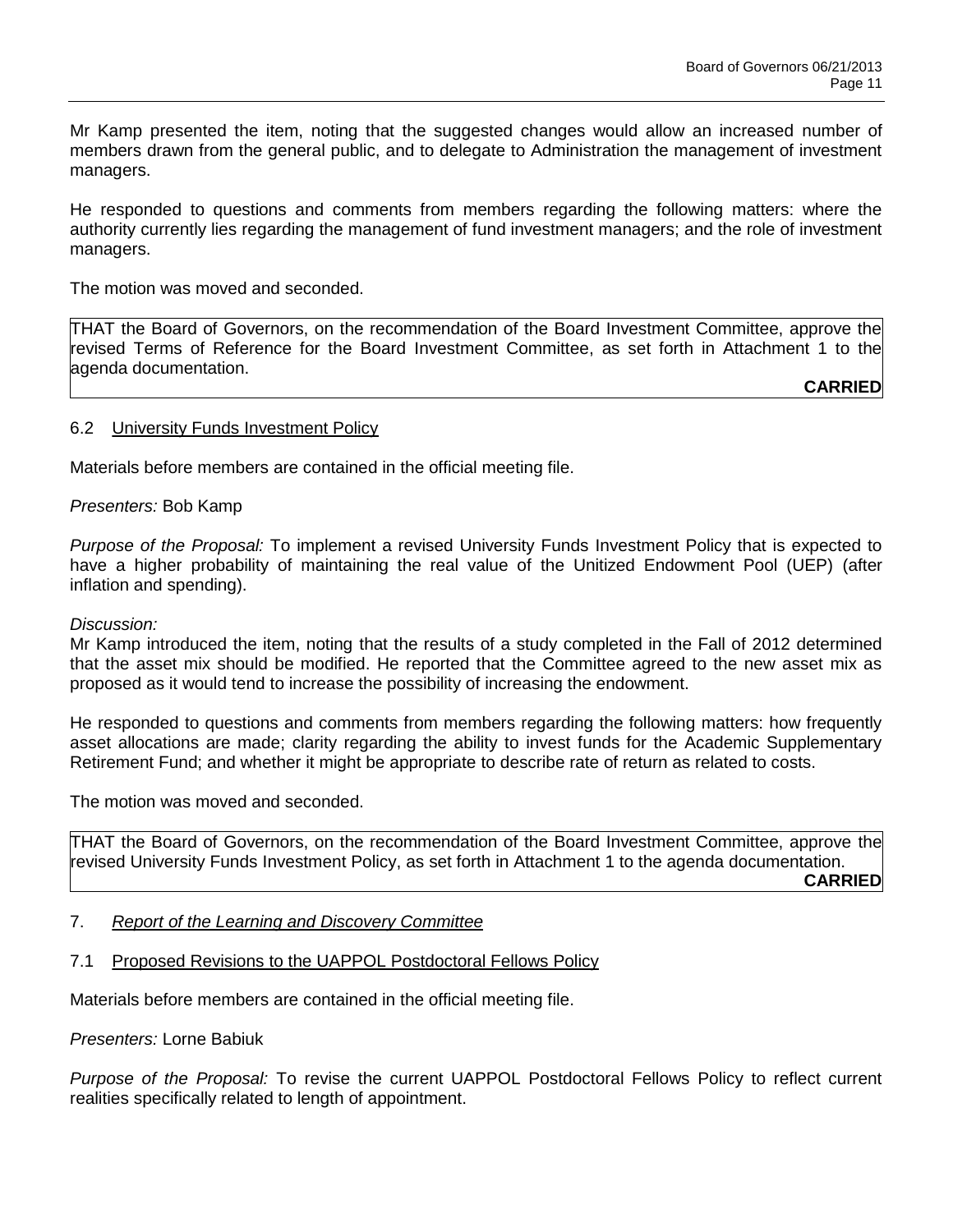Mr Kamp presented the item, noting that the suggested changes would allow an increased number of members drawn from the general public, and to delegate to Administration the management of investment managers.

He responded to questions and comments from members regarding the following matters: where the authority currently lies regarding the management of fund investment managers; and the role of investment managers.

The motion was moved and seconded.

THAT the Board of Governors, on the recommendation of the Board Investment Committee, approve the revised Terms of Reference for the Board Investment Committee, as set forth in Attachment 1 to the agenda documentation.

**CARRIED**

#### 6.2 University Funds Investment Policy

Materials before members are contained in the official meeting file.

*Presenters:* Bob Kamp

*Purpose of the Proposal:* To implement a revised University Funds Investment Policy that is expected to have a higher probability of maintaining the real value of the Unitized Endowment Pool (UEP) (after inflation and spending).

#### *Discussion:*

Mr Kamp introduced the item, noting that the results of a study completed in the Fall of 2012 determined that the asset mix should be modified. He reported that the Committee agreed to the new asset mix as proposed as it would tend to increase the possibility of increasing the endowment.

He responded to questions and comments from members regarding the following matters: how frequently asset allocations are made; clarity regarding the ability to invest funds for the Academic Supplementary Retirement Fund; and whether it might be appropriate to describe rate of return as related to costs.

The motion was moved and seconded.

THAT the Board of Governors, on the recommendation of the Board Investment Committee, approve the revised University Funds Investment Policy, as set forth in Attachment 1 to the agenda documentation. **CARRIED**

- 7. *Report of the Learning and Discovery Committee*
- 7.1 Proposed Revisions to the UAPPOL Postdoctoral Fellows Policy

Materials before members are contained in the official meeting file.

*Presenters:* Lorne Babiuk

*Purpose of the Proposal:* To revise the current UAPPOL Postdoctoral Fellows Policy to reflect current realities specifically related to length of appointment.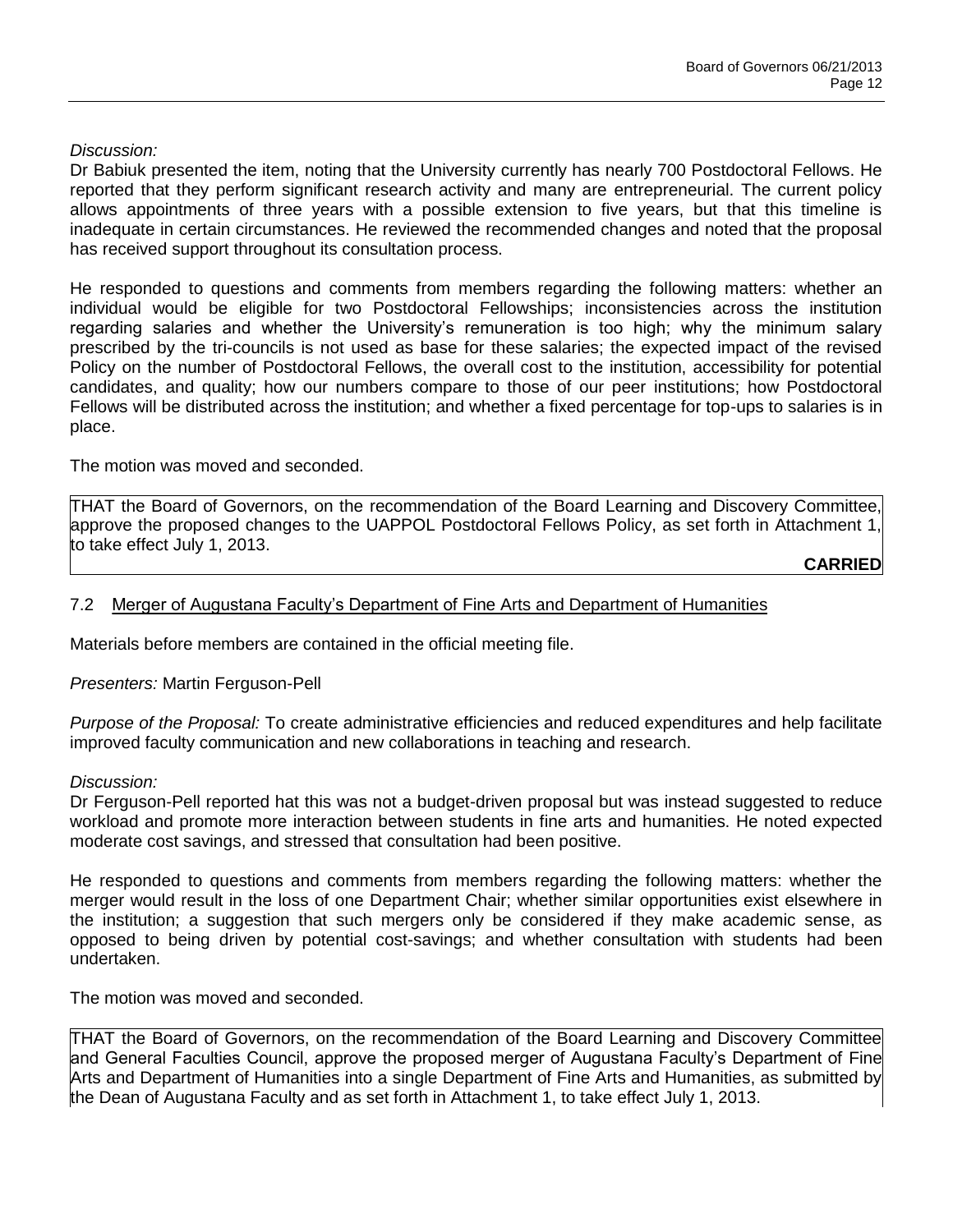## *Discussion:*

Dr Babiuk presented the item, noting that the University currently has nearly 700 Postdoctoral Fellows. He reported that they perform significant research activity and many are entrepreneurial. The current policy allows appointments of three years with a possible extension to five years, but that this timeline is inadequate in certain circumstances. He reviewed the recommended changes and noted that the proposal has received support throughout its consultation process.

He responded to questions and comments from members regarding the following matters: whether an individual would be eligible for two Postdoctoral Fellowships; inconsistencies across the institution regarding salaries and whether the University's remuneration is too high; why the minimum salary prescribed by the tri-councils is not used as base for these salaries; the expected impact of the revised Policy on the number of Postdoctoral Fellows, the overall cost to the institution, accessibility for potential candidates, and quality; how our numbers compare to those of our peer institutions; how Postdoctoral Fellows will be distributed across the institution; and whether a fixed percentage for top-ups to salaries is in place.

The motion was moved and seconded.

THAT the Board of Governors, on the recommendation of the Board Learning and Discovery Committee, approve the proposed changes to the UAPPOL Postdoctoral Fellows Policy, as set forth in Attachment 1, to take effect July 1, 2013.

**CARRIED**

### 7.2 Merger of Augustana Faculty's Department of Fine Arts and Department of Humanities

Materials before members are contained in the official meeting file.

*Presenters:* Martin Ferguson-Pell

*Purpose of the Proposal:* To create administrative efficiencies and reduced expenditures and help facilitate improved faculty communication and new collaborations in teaching and research.

### *Discussion:*

Dr Ferguson-Pell reported hat this was not a budget-driven proposal but was instead suggested to reduce workload and promote more interaction between students in fine arts and humanities. He noted expected moderate cost savings, and stressed that consultation had been positive.

He responded to questions and comments from members regarding the following matters: whether the merger would result in the loss of one Department Chair; whether similar opportunities exist elsewhere in the institution; a suggestion that such mergers only be considered if they make academic sense, as opposed to being driven by potential cost-savings; and whether consultation with students had been undertaken.

The motion was moved and seconded.

THAT the Board of Governors, on the recommendation of the Board Learning and Discovery Committee and General Faculties Council, approve the proposed merger of Augustana Faculty's Department of Fine Arts and Department of Humanities into a single Department of Fine Arts and Humanities, as submitted by the Dean of Augustana Faculty and as set forth in Attachment 1, to take effect July 1, 2013.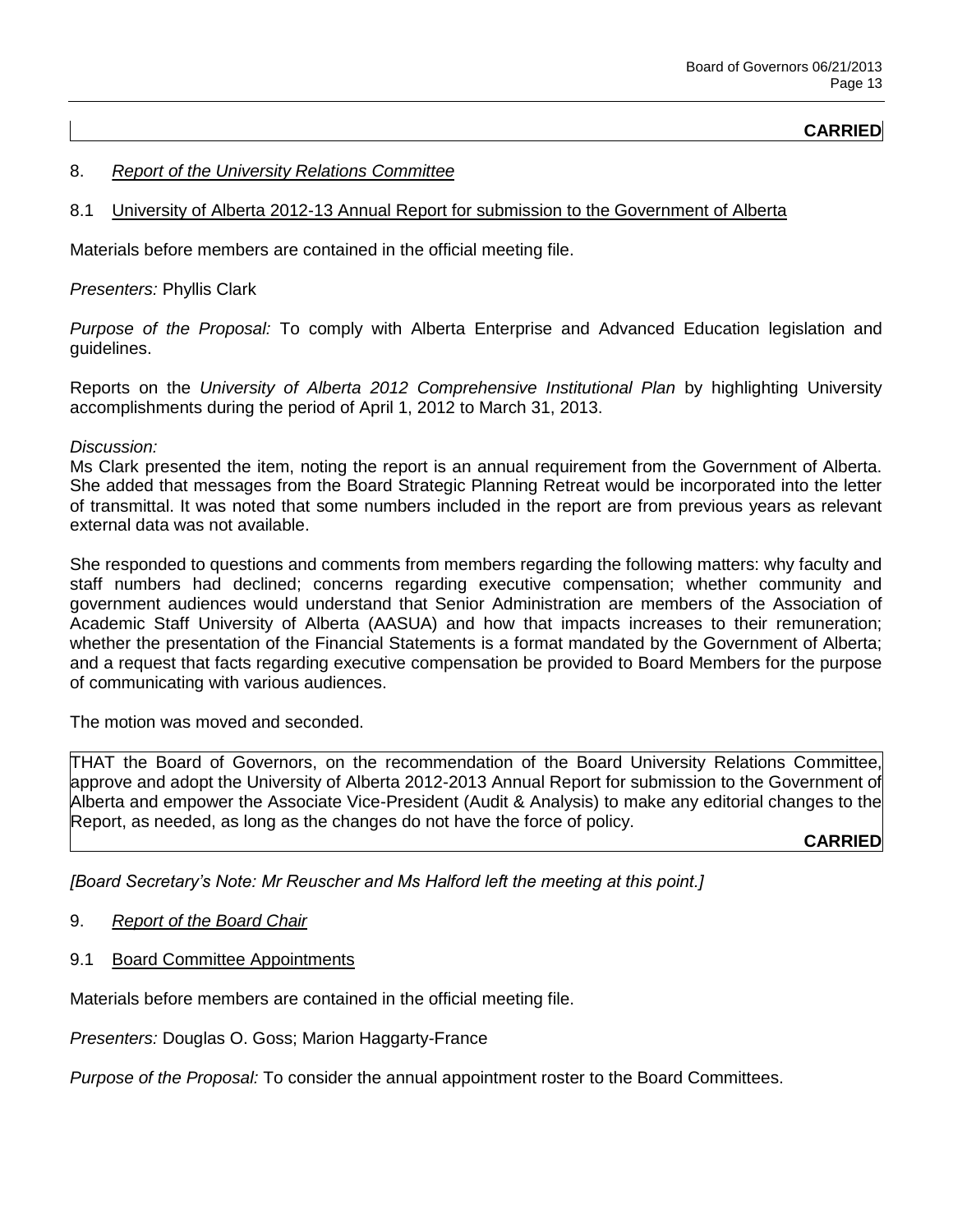### **CARRIED**

### 8. *Report of the University Relations Committee*

#### 8.1 University of Alberta 2012-13 Annual Report for submission to the Government of Alberta

Materials before members are contained in the official meeting file.

#### *Presenters:* Phyllis Clark

*Purpose of the Proposal:* To comply with Alberta Enterprise and Advanced Education legislation and guidelines.

Reports on the *University of Alberta 2012 Comprehensive Institutional Plan* by highlighting University accomplishments during the period of April 1, 2012 to March 31, 2013.

#### *Discussion:*

Ms Clark presented the item, noting the report is an annual requirement from the Government of Alberta. She added that messages from the Board Strategic Planning Retreat would be incorporated into the letter of transmittal. It was noted that some numbers included in the report are from previous years as relevant external data was not available.

She responded to questions and comments from members regarding the following matters: why faculty and staff numbers had declined; concerns regarding executive compensation; whether community and government audiences would understand that Senior Administration are members of the Association of Academic Staff University of Alberta (AASUA) and how that impacts increases to their remuneration; whether the presentation of the Financial Statements is a format mandated by the Government of Alberta; and a request that facts regarding executive compensation be provided to Board Members for the purpose of communicating with various audiences.

The motion was moved and seconded.

THAT the Board of Governors, on the recommendation of the Board University Relations Committee, approve and adopt the University of Alberta 2012-2013 Annual Report for submission to the Government of Alberta and empower the Associate Vice-President (Audit & Analysis) to make any editorial changes to the Report, as needed, as long as the changes do not have the force of policy.

### **CARRIED**

*[Board Secretary's Note: Mr Reuscher and Ms Halford left the meeting at this point.]*

- 9. *Report of the Board Chair*
- 9.1 Board Committee Appointments

Materials before members are contained in the official meeting file.

*Presenters:* Douglas O. Goss; Marion Haggarty-France

*Purpose of the Proposal:* To consider the annual appointment roster to the Board Committees.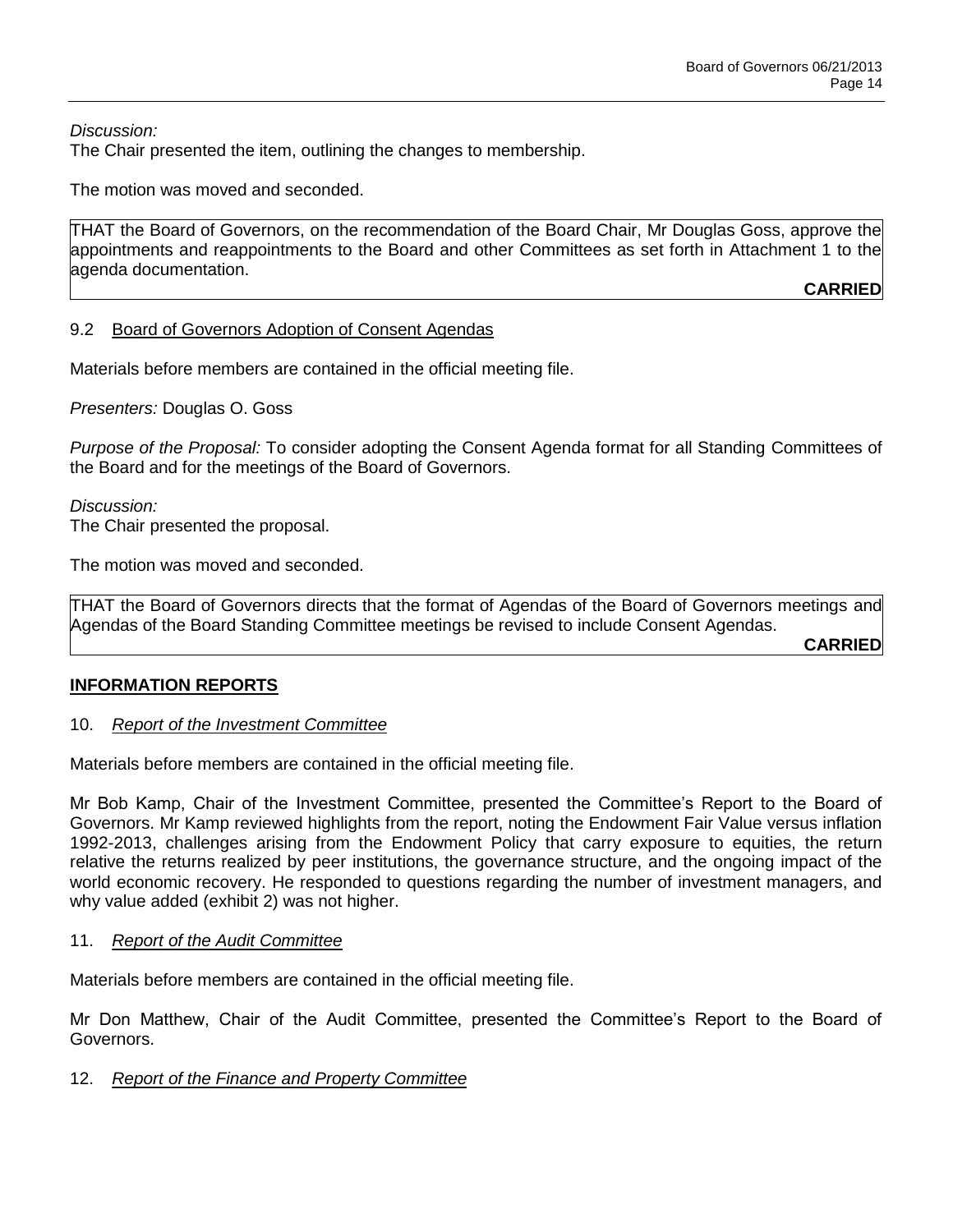*Discussion:* 

The Chair presented the item, outlining the changes to membership.

The motion was moved and seconded.

THAT the Board of Governors, on the recommendation of the Board Chair, Mr Douglas Goss, approve the appointments and reappointments to the Board and other Committees as set forth in Attachment 1 to the agenda documentation.

**CARRIED**

### 9.2 Board of Governors Adoption of Consent Agendas

Materials before members are contained in the official meeting file.

*Presenters:* Douglas O. Goss

*Purpose of the Proposal:* To consider adopting the Consent Agenda format for all Standing Committees of the Board and for the meetings of the Board of Governors.

*Discussion:* The Chair presented the proposal.

The motion was moved and seconded.

THAT the Board of Governors directs that the format of Agendas of the Board of Governors meetings and Agendas of the Board Standing Committee meetings be revised to include Consent Agendas.

**CARRIED**

## **INFORMATION REPORTS**

### 10. *Report of the Investment Committee*

Materials before members are contained in the official meeting file.

Mr Bob Kamp, Chair of the Investment Committee, presented the Committee's Report to the Board of Governors. Mr Kamp reviewed highlights from the report, noting the Endowment Fair Value versus inflation 1992-2013, challenges arising from the Endowment Policy that carry exposure to equities, the return relative the returns realized by peer institutions, the governance structure, and the ongoing impact of the world economic recovery. He responded to questions regarding the number of investment managers, and why value added (exhibit 2) was not higher.

### 11. *Report of the Audit Committee*

Materials before members are contained in the official meeting file.

Mr Don Matthew, Chair of the Audit Committee, presented the Committee's Report to the Board of Governors.

### 12. *Report of the Finance and Property Committee*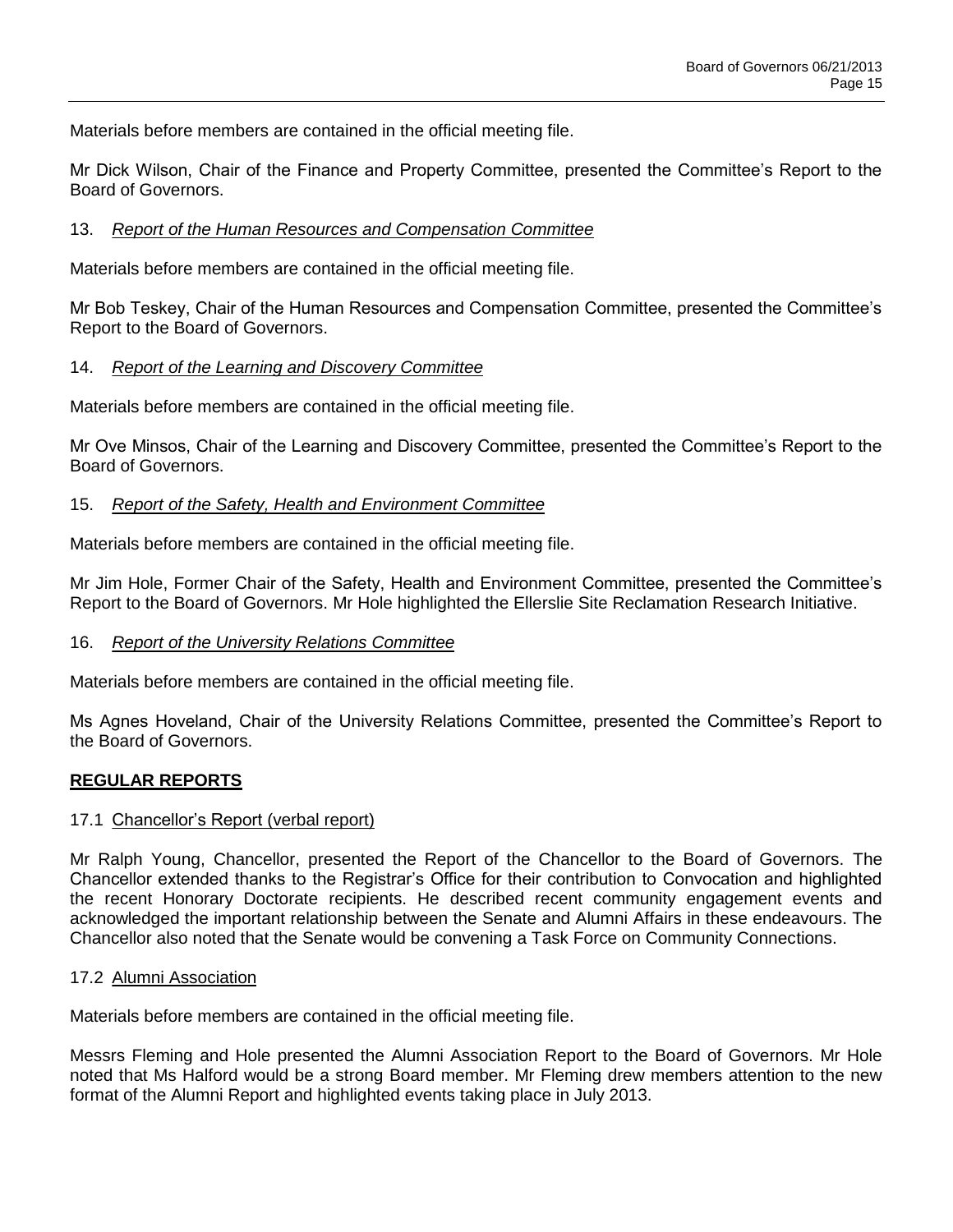Materials before members are contained in the official meeting file.

Mr Dick Wilson, Chair of the Finance and Property Committee, presented the Committee's Report to the Board of Governors.

### 13. *Report of the Human Resources and Compensation Committee*

Materials before members are contained in the official meeting file.

Mr Bob Teskey, Chair of the Human Resources and Compensation Committee, presented the Committee's Report to the Board of Governors.

### 14. *Report of the Learning and Discovery Committee*

Materials before members are contained in the official meeting file.

Mr Ove Minsos, Chair of the Learning and Discovery Committee, presented the Committee's Report to the Board of Governors.

### 15. *Report of the Safety, Health and Environment Committee*

Materials before members are contained in the official meeting file.

Mr Jim Hole, Former Chair of the Safety, Health and Environment Committee, presented the Committee's Report to the Board of Governors. Mr Hole highlighted the Ellerslie Site Reclamation Research Initiative.

### 16. *Report of the University Relations Committee*

Materials before members are contained in the official meeting file.

Ms Agnes Hoveland, Chair of the University Relations Committee, presented the Committee's Report to the Board of Governors.

### **REGULAR REPORTS**

### 17.1 Chancellor's Report (verbal report)

Mr Ralph Young, Chancellor, presented the Report of the Chancellor to the Board of Governors. The Chancellor extended thanks to the Registrar's Office for their contribution to Convocation and highlighted the recent Honorary Doctorate recipients. He described recent community engagement events and acknowledged the important relationship between the Senate and Alumni Affairs in these endeavours. The Chancellor also noted that the Senate would be convening a Task Force on Community Connections.

### 17.2 Alumni Association

Materials before members are contained in the official meeting file.

Messrs Fleming and Hole presented the Alumni Association Report to the Board of Governors. Mr Hole noted that Ms Halford would be a strong Board member. Mr Fleming drew members attention to the new format of the Alumni Report and highlighted events taking place in July 2013.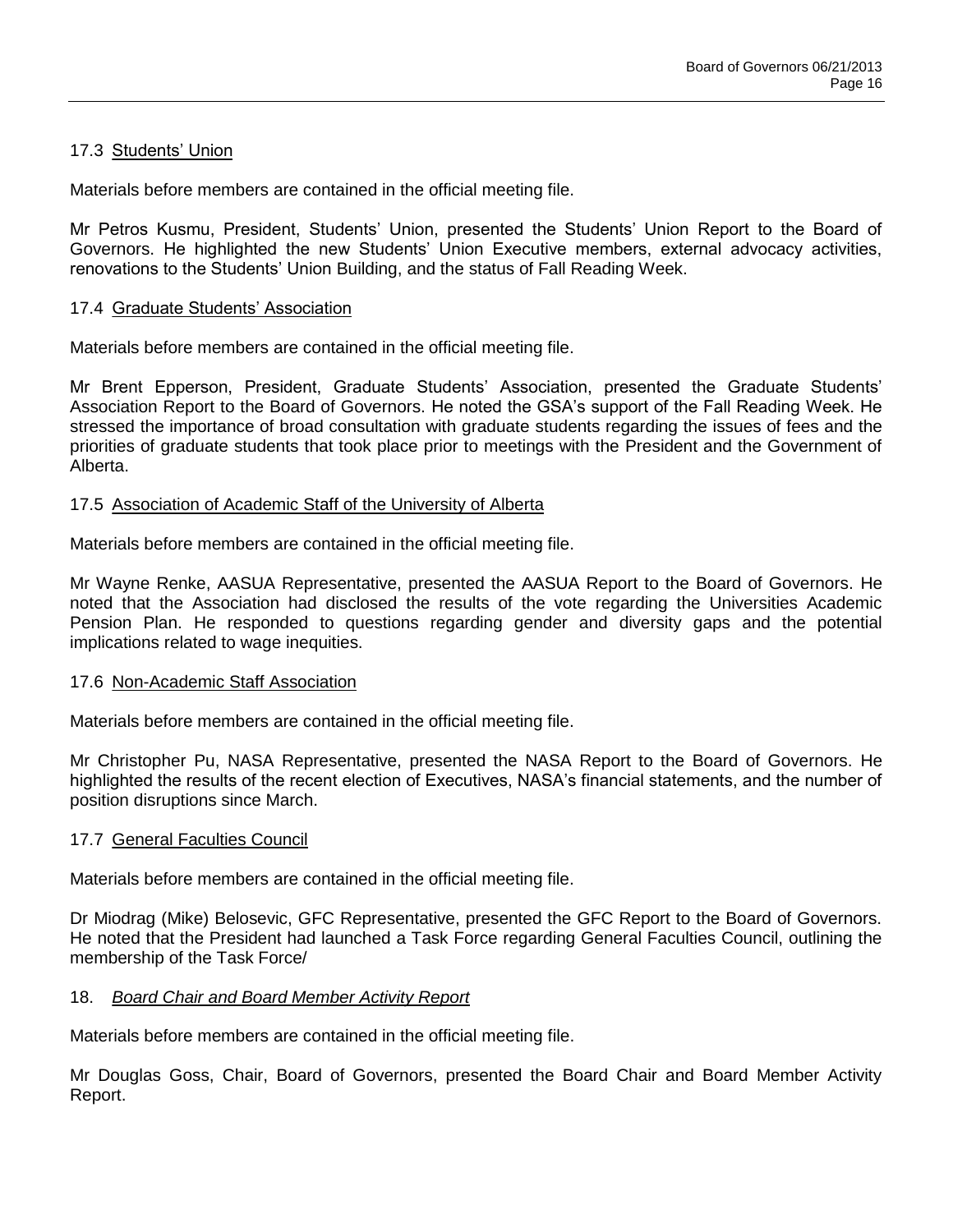### 17.3 Students' Union

Materials before members are contained in the official meeting file.

Mr Petros Kusmu, President, Students' Union, presented the Students' Union Report to the Board of Governors. He highlighted the new Students' Union Executive members, external advocacy activities, renovations to the Students' Union Building, and the status of Fall Reading Week.

### 17.4 Graduate Students' Association

Materials before members are contained in the official meeting file.

Mr Brent Epperson, President, Graduate Students' Association, presented the Graduate Students' Association Report to the Board of Governors. He noted the GSA's support of the Fall Reading Week. He stressed the importance of broad consultation with graduate students regarding the issues of fees and the priorities of graduate students that took place prior to meetings with the President and the Government of Alberta.

### 17.5 Association of Academic Staff of the University of Alberta

Materials before members are contained in the official meeting file.

Mr Wayne Renke, AASUA Representative, presented the AASUA Report to the Board of Governors. He noted that the Association had disclosed the results of the vote regarding the Universities Academic Pension Plan. He responded to questions regarding gender and diversity gaps and the potential implications related to wage inequities.

### 17.6 Non-Academic Staff Association

Materials before members are contained in the official meeting file.

Mr Christopher Pu, NASA Representative, presented the NASA Report to the Board of Governors. He highlighted the results of the recent election of Executives, NASA's financial statements, and the number of position disruptions since March.

### 17.7 General Faculties Council

Materials before members are contained in the official meeting file.

Dr Miodrag (Mike) Belosevic, GFC Representative, presented the GFC Report to the Board of Governors. He noted that the President had launched a Task Force regarding General Faculties Council, outlining the membership of the Task Force/

### 18. *Board Chair and Board Member Activity Report*

Materials before members are contained in the official meeting file.

Mr Douglas Goss, Chair, Board of Governors, presented the Board Chair and Board Member Activity Report.